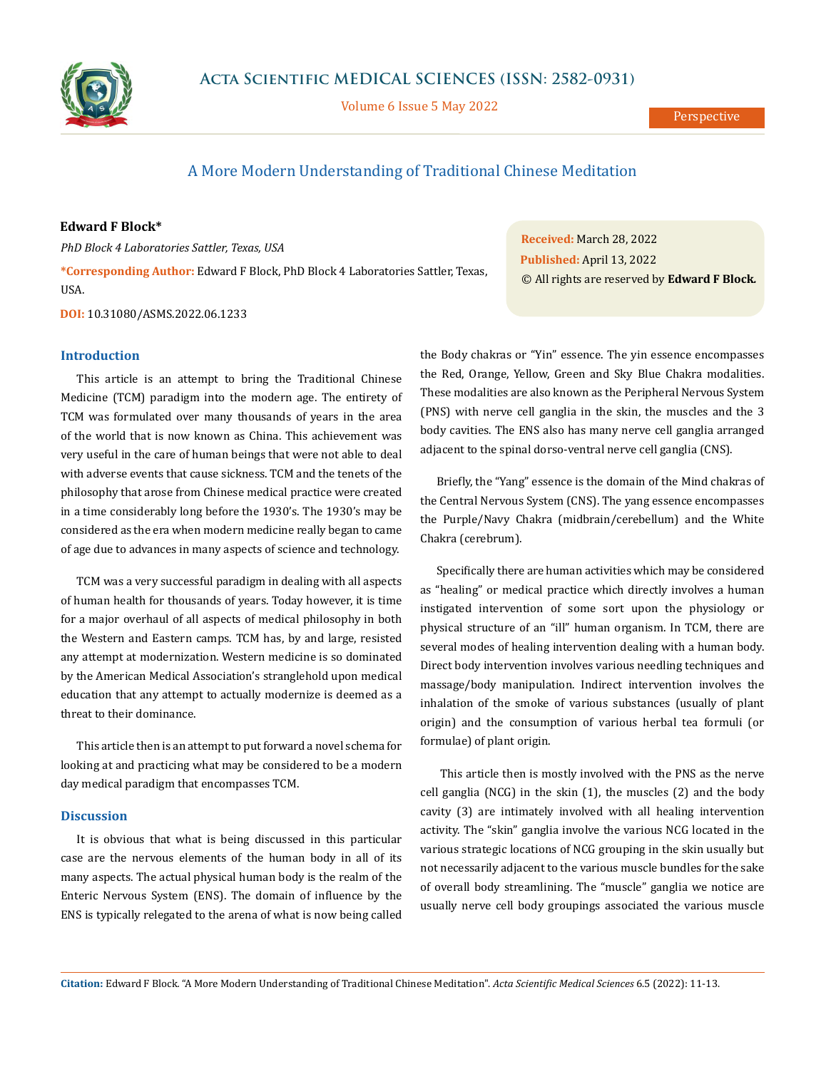

Volume 6 Issue 5 May 2022

# A More Modern Understanding of Traditional Chinese Meditation

### **Edward F Block\***

*PhD Block 4 Laboratories Sattler, Texas, USA*

**\*Corresponding Author:** Edward F Block, PhD Block 4 Laboratories Sattler, Texas, USA.

**DOI:** [10.31080/ASMS.2022.06.1233](http://actascientific.com/ASMS/pdf/ASMS-06-1233.pdf)

#### **Introduction**

This article is an attempt to bring the Traditional Chinese Medicine (TCM) paradigm into the modern age. The entirety of TCM was formulated over many thousands of years in the area of the world that is now known as China. This achievement was very useful in the care of human beings that were not able to deal with adverse events that cause sickness. TCM and the tenets of the philosophy that arose from Chinese medical practice were created in a time considerably long before the 1930's. The 1930's may be considered as the era when modern medicine really began to came of age due to advances in many aspects of science and technology.

TCM was a very successful paradigm in dealing with all aspects of human health for thousands of years. Today however, it is time for a major overhaul of all aspects of medical philosophy in both the Western and Eastern camps. TCM has, by and large, resisted any attempt at modernization. Western medicine is so dominated by the American Medical Association's stranglehold upon medical education that any attempt to actually modernize is deemed as a threat to their dominance.

This article then is an attempt to put forward a novel schema for looking at and practicing what may be considered to be a modern day medical paradigm that encompasses TCM.

#### **Discussion**

It is obvious that what is being discussed in this particular case are the nervous elements of the human body in all of its many aspects. The actual physical human body is the realm of the Enteric Nervous System (ENS). The domain of influence by the ENS is typically relegated to the arena of what is now being called

**Received:** March 28, 2022 **Published:** April 13, 2022 © All rights are reserved by **Edward F Block***.*

the Body chakras or "Yin" essence. The yin essence encompasses the Red, Orange, Yellow, Green and Sky Blue Chakra modalities. These modalities are also known as the Peripheral Nervous System (PNS) with nerve cell ganglia in the skin, the muscles and the 3 body cavities. The ENS also has many nerve cell ganglia arranged adjacent to the spinal dorso-ventral nerve cell ganglia (CNS).

Briefly, the "Yang" essence is the domain of the Mind chakras of the Central Nervous System (CNS). The yang essence encompasses the Purple/Navy Chakra (midbrain/cerebellum) and the White Chakra (cerebrum).

Specifically there are human activities which may be considered as "healing" or medical practice which directly involves a human instigated intervention of some sort upon the physiology or physical structure of an "ill" human organism. In TCM, there are several modes of healing intervention dealing with a human body. Direct body intervention involves various needling techniques and massage/body manipulation. Indirect intervention involves the inhalation of the smoke of various substances (usually of plant origin) and the consumption of various herbal tea formuli (or formulae) of plant origin.

 This article then is mostly involved with the PNS as the nerve cell ganglia (NCG) in the skin (1), the muscles (2) and the body cavity (3) are intimately involved with all healing intervention activity. The "skin" ganglia involve the various NCG located in the various strategic locations of NCG grouping in the skin usually but not necessarily adjacent to the various muscle bundles for the sake of overall body streamlining. The "muscle" ganglia we notice are usually nerve cell body groupings associated the various muscle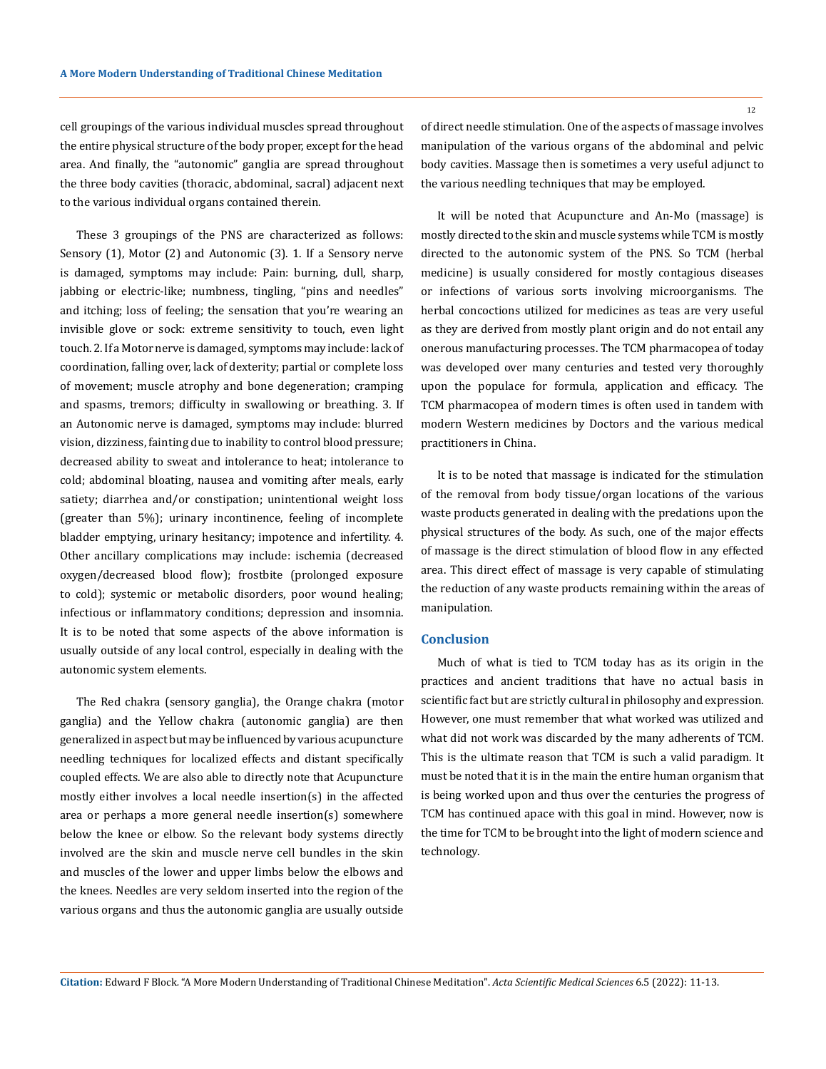cell groupings of the various individual muscles spread throughout the entire physical structure of the body proper, except for the head area. And finally, the "autonomic" ganglia are spread throughout the three body cavities (thoracic, abdominal, sacral) adjacent next to the various individual organs contained therein.

These 3 groupings of the PNS are characterized as follows: Sensory (1), Motor (2) and Autonomic (3). 1. If a Sensory nerve is damaged, symptoms may include: Pain: burning, dull, sharp, jabbing or electric-like; numbness, tingling, "pins and needles" and itching; loss of feeling; the sensation that you're wearing an invisible glove or sock: extreme sensitivity to touch, even light touch. 2. If a Motor nerve is damaged, symptoms may include: lack of coordination, falling over, lack of dexterity; partial or complete loss of movement; muscle atrophy and bone degeneration; cramping and spasms, tremors; difficulty in swallowing or breathing. 3. If an Autonomic nerve is damaged, symptoms may include: blurred vision, dizziness, fainting due to inability to control blood pressure; decreased ability to sweat and intolerance to heat; intolerance to cold; abdominal bloating, nausea and vomiting after meals, early satiety; diarrhea and/or constipation; unintentional weight loss (greater than 5%); urinary incontinence, feeling of incomplete bladder emptying, urinary hesitancy; impotence and infertility. 4. Other ancillary complications may include: ischemia (decreased oxygen/decreased blood flow); frostbite (prolonged exposure to cold); systemic or metabolic disorders, poor wound healing; infectious or inflammatory conditions; depression and insomnia. It is to be noted that some aspects of the above information is usually outside of any local control, especially in dealing with the autonomic system elements.

The Red chakra (sensory ganglia), the Orange chakra (motor ganglia) and the Yellow chakra (autonomic ganglia) are then generalized in aspect but may be influenced by various acupuncture needling techniques for localized effects and distant specifically coupled effects. We are also able to directly note that Acupuncture mostly either involves a local needle insertion(s) in the affected area or perhaps a more general needle insertion(s) somewhere below the knee or elbow. So the relevant body systems directly involved are the skin and muscle nerve cell bundles in the skin and muscles of the lower and upper limbs below the elbows and the knees. Needles are very seldom inserted into the region of the various organs and thus the autonomic ganglia are usually outside 12

of direct needle stimulation. One of the aspects of massage involves manipulation of the various organs of the abdominal and pelvic body cavities. Massage then is sometimes a very useful adjunct to the various needling techniques that may be employed.

It will be noted that Acupuncture and An-Mo (massage) is mostly directed to the skin and muscle systems while TCM is mostly directed to the autonomic system of the PNS. So TCM (herbal medicine) is usually considered for mostly contagious diseases or infections of various sorts involving microorganisms. The herbal concoctions utilized for medicines as teas are very useful as they are derived from mostly plant origin and do not entail any onerous manufacturing processes. The TCM pharmacopea of today was developed over many centuries and tested very thoroughly upon the populace for formula, application and efficacy. The TCM pharmacopea of modern times is often used in tandem with modern Western medicines by Doctors and the various medical practitioners in China.

It is to be noted that massage is indicated for the stimulation of the removal from body tissue/organ locations of the various waste products generated in dealing with the predations upon the physical structures of the body. As such, one of the major effects of massage is the direct stimulation of blood flow in any effected area. This direct effect of massage is very capable of stimulating the reduction of any waste products remaining within the areas of manipulation.

## **Conclusion**

Much of what is tied to TCM today has as its origin in the practices and ancient traditions that have no actual basis in scientific fact but are strictly cultural in philosophy and expression. However, one must remember that what worked was utilized and what did not work was discarded by the many adherents of TCM. This is the ultimate reason that TCM is such a valid paradigm. It must be noted that it is in the main the entire human organism that is being worked upon and thus over the centuries the progress of TCM has continued apace with this goal in mind. However, now is the time for TCM to be brought into the light of modern science and technology.